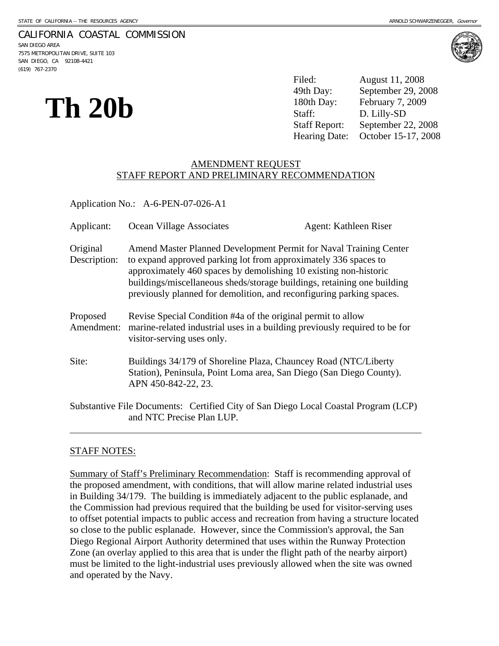### CALIFORNIA COASTAL COMMISSION

SAN DIEGO AREA 7575 METROPOLITAN DRIVE, SUITE 103 SAN DIEGO, CA 92108-4421 (619) 767-2370



**Th** 20b <sup>49th Day: September 2<br>
<sup>49th Day: September 2<br>
<sup>180th Day: February 7, 2<br>
Staff: D. Lilly-SD<br>
Staff Report: September 2</sup></sup></sup> Filed: August 11, 2008 September 29, 2008 February 7, 2009 September 22, 2008 Hearing Date: October 15-17, 2008

## AMENDMENT REQUEST STAFF REPORT AND PRELIMINARY RECOMMENDATION

Application No.: A-6-PEN-07-026-A1

| Applicant:               | Ocean Village Associates                                                                                                                                                                                                                                                                                                                                    | Agent: Kathleen Riser |
|--------------------------|-------------------------------------------------------------------------------------------------------------------------------------------------------------------------------------------------------------------------------------------------------------------------------------------------------------------------------------------------------------|-----------------------|
| Original<br>Description: | Amend Master Planned Development Permit for Naval Training Center<br>to expand approved parking lot from approximately 336 spaces to<br>approximately 460 spaces by demolishing 10 existing non-historic<br>buildings/miscellaneous sheds/storage buildings, retaining one building<br>previously planned for demolition, and reconfiguring parking spaces. |                       |
| Proposed<br>Amendment:   | Revise Special Condition #4a of the original permit to allow<br>marine-related industrial uses in a building previously required to be for<br>visitor-serving uses only.                                                                                                                                                                                    |                       |
| Site:                    | Buildings 34/179 of Shoreline Plaza, Chauncey Road (NTC/Liberty<br>Station), Peninsula, Point Loma area, San Diego (San Diego County).<br>APN 450-842-22, 23.                                                                                                                                                                                               |                       |
|                          | Substantive File Documents: Certified City of San Diego Local Coastal Program (LCP)<br>and NTC Precise Plan LUP.                                                                                                                                                                                                                                            |                       |

# STAFF NOTES:

 $\overline{a}$ 

Summary of Staff's Preliminary Recommendation: Staff is recommending approval of the proposed amendment, with conditions, that will allow marine related industrial uses in Building 34/179. The building is immediately adjacent to the public esplanade, and the Commission had previous required that the building be used for visitor-serving uses to offset potential impacts to public access and recreation from having a structure located so close to the public esplanade. However, since the Commission's approval, the San Diego Regional Airport Authority determined that uses within the Runway Protection Zone (an overlay applied to this area that is under the flight path of the nearby airport) must be limited to the light-industrial uses previously allowed when the site was owned and operated by the Navy.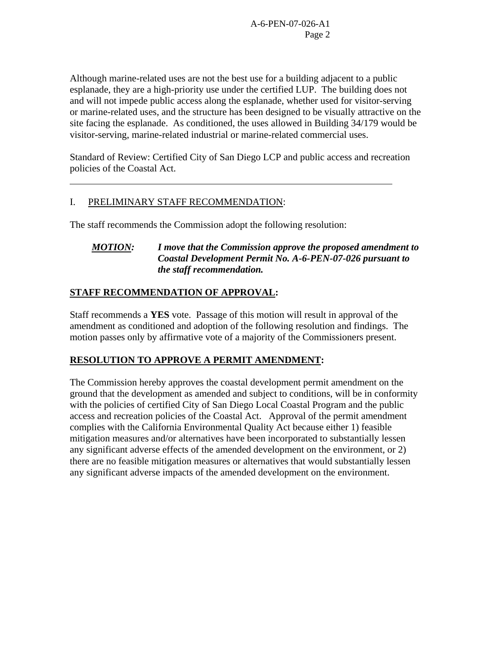Although marine-related uses are not the best use for a building adjacent to a public esplanade, they are a high-priority use under the certified LUP. The building does not and will not impede public access along the esplanade, whether used for visitor-serving or marine-related uses, and the structure has been designed to be visually attractive on the site facing the esplanade. As conditioned, the uses allowed in Building 34/179 would be visitor-serving, marine-related industrial or marine-related commercial uses.

Standard of Review: Certified City of San Diego LCP and public access and recreation policies of the Coastal Act.

# I. PRELIMINARY STAFF RECOMMENDATION:

 $\overline{a}$ 

The staff recommends the Commission adopt the following resolution:

# *MOTION: I move that the Commission approve the proposed amendment to Coastal Development Permit No. A-6-PEN-07-026 pursuant to the staff recommendation.*

# **STAFF RECOMMENDATION OF APPROVAL:**

Staff recommends a **YES** vote. Passage of this motion will result in approval of the amendment as conditioned and adoption of the following resolution and findings. The motion passes only by affirmative vote of a majority of the Commissioners present.

# **RESOLUTION TO APPROVE A PERMIT AMENDMENT:**

The Commission hereby approves the coastal development permit amendment on the ground that the development as amended and subject to conditions, will be in conformity with the policies of certified City of San Diego Local Coastal Program and the public access and recreation policies of the Coastal Act. Approval of the permit amendment complies with the California Environmental Quality Act because either 1) feasible mitigation measures and/or alternatives have been incorporated to substantially lessen any significant adverse effects of the amended development on the environment, or 2) there are no feasible mitigation measures or alternatives that would substantially lessen any significant adverse impacts of the amended development on the environment.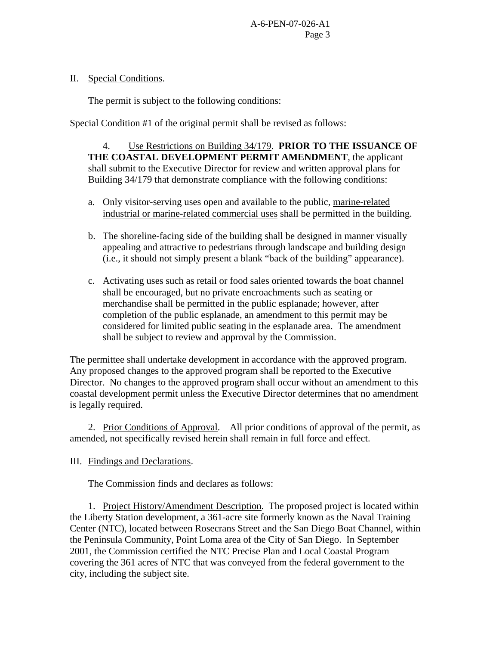## A-6-PEN-07-026-A1 Page 3

# II. Special Conditions.

The permit is subject to the following conditions:

Special Condition #1 of the original permit shall be revised as follows:

 4. Use Restrictions on Building 34/179. **PRIOR TO THE ISSUANCE OF THE COASTAL DEVELOPMENT PERMIT AMENDMENT**, the applicant shall submit to the Executive Director for review and written approval plans for Building 34/179 that demonstrate compliance with the following conditions:

- a. Only visitor-serving uses open and available to the public, marine-related industrial or marine-related commercial uses shall be permitted in the building.
- b. The shoreline-facing side of the building shall be designed in manner visually appealing and attractive to pedestrians through landscape and building design (i.e., it should not simply present a blank "back of the building" appearance).
- c. Activating uses such as retail or food sales oriented towards the boat channel shall be encouraged, but no private encroachments such as seating or merchandise shall be permitted in the public esplanade; however, after completion of the public esplanade, an amendment to this permit may be considered for limited public seating in the esplanade area. The amendment shall be subject to review and approval by the Commission.

The permittee shall undertake development in accordance with the approved program. Any proposed changes to the approved program shall be reported to the Executive Director. No changes to the approved program shall occur without an amendment to this coastal development permit unless the Executive Director determines that no amendment is legally required.

 2. Prior Conditions of Approval. All prior conditions of approval of the permit, as amended, not specifically revised herein shall remain in full force and effect.

# III. Findings and Declarations.

The Commission finds and declares as follows:

 1. Project History/Amendment Description. The proposed project is located within the Liberty Station development, a 361-acre site formerly known as the Naval Training Center (NTC), located between Rosecrans Street and the San Diego Boat Channel, within the Peninsula Community, Point Loma area of the City of San Diego. In September 2001, the Commission certified the NTC Precise Plan and Local Coastal Program covering the 361 acres of NTC that was conveyed from the federal government to the city, including the subject site.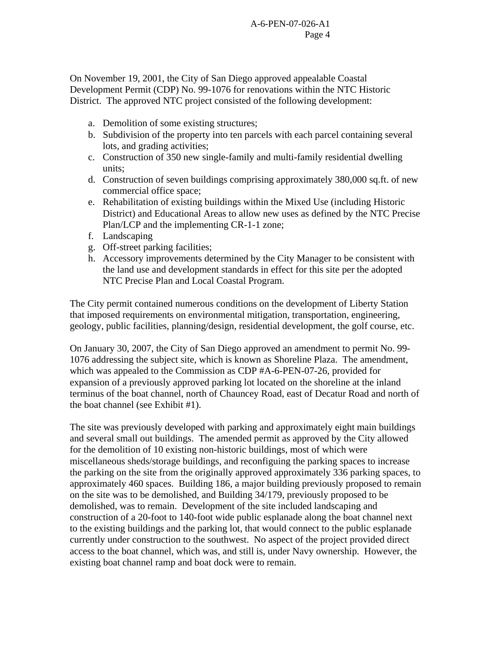### A-6-PEN-07-026-A1 Page 4

On November 19, 2001, the City of San Diego approved appealable Coastal Development Permit (CDP) No. 99-1076 for renovations within the NTC Historic District. The approved NTC project consisted of the following development:

- a. Demolition of some existing structures;
- b. Subdivision of the property into ten parcels with each parcel containing several lots, and grading activities;
- c. Construction of 350 new single-family and multi-family residential dwelling units;
- d. Construction of seven buildings comprising approximately 380,000 sq.ft. of new commercial office space;
- e. Rehabilitation of existing buildings within the Mixed Use (including Historic District) and Educational Areas to allow new uses as defined by the NTC Precise Plan/LCP and the implementing CR-1-1 zone;
- f. Landscaping
- g. Off-street parking facilities;
- h. Accessory improvements determined by the City Manager to be consistent with the land use and development standards in effect for this site per the adopted NTC Precise Plan and Local Coastal Program.

The City permit contained numerous conditions on the development of Liberty Station that imposed requirements on environmental mitigation, transportation, engineering, geology, public facilities, planning/design, residential development, the golf course, etc.

On January 30, 2007, the City of San Diego approved an amendment to permit No. 99- 1076 addressing the subject site, which is known as Shoreline Plaza. The amendment, which was appealed to the Commission as CDP #A-6-PEN-07-26, provided for expansion of a previously approved parking lot located on the shoreline at the inland terminus of the boat channel, north of Chauncey Road, east of Decatur Road and north of the boat channel (see Exhibit #1).

The site was previously developed with parking and approximately eight main buildings and several small out buildings. The amended permit as approved by the City allowed for the demolition of 10 existing non-historic buildings, most of which were miscellaneous sheds/storage buildings, and reconfiguing the parking spaces to increase the parking on the site from the originally approved approximately 336 parking spaces, to approximately 460 spaces. Building 186, a major building previously proposed to remain on the site was to be demolished, and Building 34/179, previously proposed to be demolished, was to remain. Development of the site included landscaping and construction of a 20-foot to 140-foot wide public esplanade along the boat channel next to the existing buildings and the parking lot, that would connect to the public esplanade currently under construction to the southwest. No aspect of the project provided direct access to the boat channel, which was, and still is, under Navy ownership. However, the existing boat channel ramp and boat dock were to remain.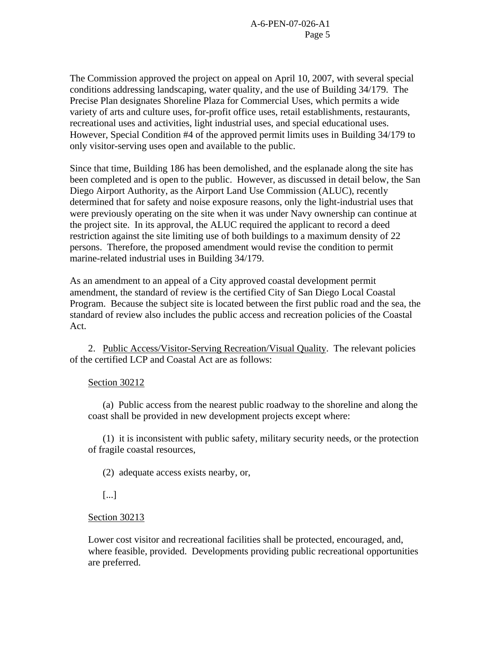The Commission approved the project on appeal on April 10, 2007, with several special conditions addressing landscaping, water quality, and the use of Building 34/179. The Precise Plan designates Shoreline Plaza for Commercial Uses, which permits a wide variety of arts and culture uses, for-profit office uses, retail establishments, restaurants, recreational uses and activities, light industrial uses, and special educational uses. However, Special Condition #4 of the approved permit limits uses in Building 34/179 to only visitor-serving uses open and available to the public.

Since that time, Building 186 has been demolished, and the esplanade along the site has been completed and is open to the public. However, as discussed in detail below, the San Diego Airport Authority, as the Airport Land Use Commission (ALUC), recently determined that for safety and noise exposure reasons, only the light-industrial uses that were previously operating on the site when it was under Navy ownership can continue at the project site. In its approval, the ALUC required the applicant to record a deed restriction against the site limiting use of both buildings to a maximum density of 22 persons. Therefore, the proposed amendment would revise the condition to permit marine-related industrial uses in Building 34/179.

As an amendment to an appeal of a City approved coastal development permit amendment, the standard of review is the certified City of San Diego Local Coastal Program. Because the subject site is located between the first public road and the sea, the standard of review also includes the public access and recreation policies of the Coastal Act.

 2. Public Access/Visitor-Serving Recreation/Visual Quality. The relevant policies of the certified LCP and Coastal Act are as follows:

### Section 30212

 (a) Public access from the nearest public roadway to the shoreline and along the coast shall be provided in new development projects except where:

 (1) it is inconsistent with public safety, military security needs, or the protection of fragile coastal resources,

(2) adequate access exists nearby, or,

[...]

### **Section 30213**

Lower cost visitor and recreational facilities shall be protected, encouraged, and, where feasible, provided. Developments providing public recreational opportunities are preferred.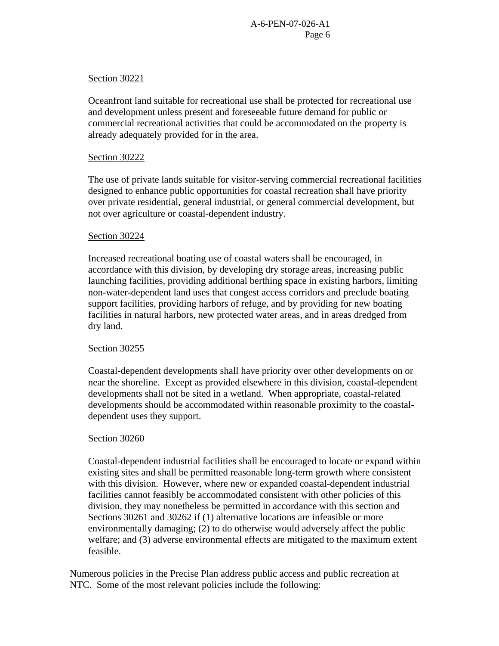## A-6-PEN-07-026-A1 Page 6

### Section 30221

Oceanfront land suitable for recreational use shall be protected for recreational use and development unless present and foreseeable future demand for public or commercial recreational activities that could be accommodated on the property is already adequately provided for in the area.

### Section 30222

The use of private lands suitable for visitor-serving commercial recreational facilities designed to enhance public opportunities for coastal recreation shall have priority over private residential, general industrial, or general commercial development, but not over agriculture or coastal-dependent industry.

#### Section 30224

Increased recreational boating use of coastal waters shall be encouraged, in accordance with this division, by developing dry storage areas, increasing public launching facilities, providing additional berthing space in existing harbors, limiting non-water-dependent land uses that congest access corridors and preclude boating support facilities, providing harbors of refuge, and by providing for new boating facilities in natural harbors, new protected water areas, and in areas dredged from dry land.

### Section 30255

Coastal-dependent developments shall have priority over other developments on or near the shoreline. Except as provided elsewhere in this division, coastal-dependent developments shall not be sited in a wetland. When appropriate, coastal-related developments should be accommodated within reasonable proximity to the coastaldependent uses they support.

#### Section 30260

Coastal-dependent industrial facilities shall be encouraged to locate or expand within existing sites and shall be permitted reasonable long-term growth where consistent with this division. However, where new or expanded coastal-dependent industrial facilities cannot feasibly be accommodated consistent with other policies of this division, they may nonetheless be permitted in accordance with this section and Sections 30261 and 30262 if (1) alternative locations are infeasible or more environmentally damaging; (2) to do otherwise would adversely affect the public welfare; and (3) adverse environmental effects are mitigated to the maximum extent feasible.

Numerous policies in the Precise Plan address public access and public recreation at NTC. Some of the most relevant policies include the following: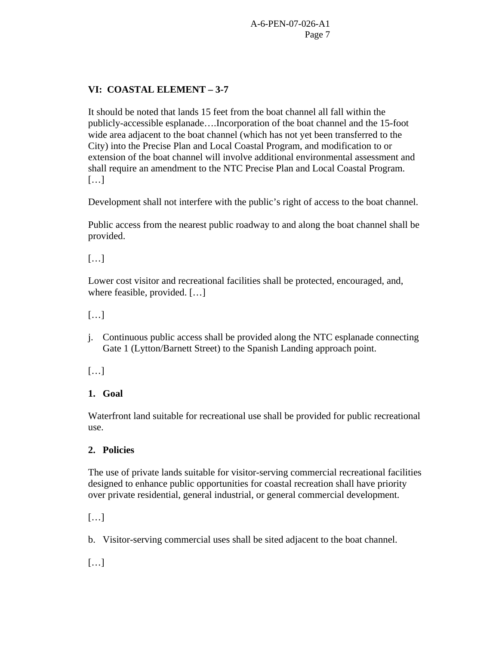# **VI: COASTAL ELEMENT – 3-7**

It should be noted that lands 15 feet from the boat channel all fall within the publicly-accessible esplanade….Incorporation of the boat channel and the 15-foot wide area adjacent to the boat channel (which has not yet been transferred to the City) into the Precise Plan and Local Coastal Program, and modification to or extension of the boat channel will involve additional environmental assessment and shall require an amendment to the NTC Precise Plan and Local Coastal Program. […]

Development shall not interfere with the public's right of access to the boat channel.

Public access from the nearest public roadway to and along the boat channel shall be provided.

[…]

Lower cost visitor and recreational facilities shall be protected, encouraged, and, where feasible, provided. […]

[…]

j. Continuous public access shall be provided along the NTC esplanade connecting Gate 1 (Lytton/Barnett Street) to the Spanish Landing approach point.

[…]

# **1. Goal**

 Waterfront land suitable for recreational use shall be provided for public recreational use.

# **2. Policies**

 The use of private lands suitable for visitor-serving commercial recreational facilities designed to enhance public opportunities for coastal recreation shall have priority over private residential, general industrial, or general commercial development.

[…]

b. Visitor-serving commercial uses shall be sited adjacent to the boat channel.

 $[...]$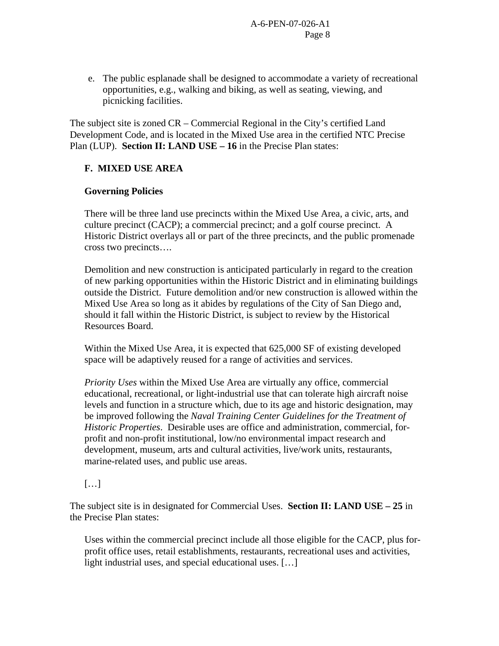e. The public esplanade shall be designed to accommodate a variety of recreational opportunities, e.g., walking and biking, as well as seating, viewing, and picnicking facilities.

The subject site is zoned CR – Commercial Regional in the City's certified Land Development Code, and is located in the Mixed Use area in the certified NTC Precise Plan (LUP). **Section II: LAND USE – 16** in the Precise Plan states:

# **F. MIXED USE AREA**

# **Governing Policies**

There will be three land use precincts within the Mixed Use Area, a civic, arts, and culture precinct (CACP); a commercial precinct; and a golf course precinct. A Historic District overlays all or part of the three precincts, and the public promenade cross two precincts….

Demolition and new construction is anticipated particularly in regard to the creation of new parking opportunities within the Historic District and in eliminating buildings outside the District. Future demolition and/or new construction is allowed within the Mixed Use Area so long as it abides by regulations of the City of San Diego and, should it fall within the Historic District, is subject to review by the Historical Resources Board.

Within the Mixed Use Area, it is expected that 625,000 SF of existing developed space will be adaptively reused for a range of activities and services.

*Priority Uses* within the Mixed Use Area are virtually any office, commercial educational, recreational, or light-industrial use that can tolerate high aircraft noise levels and function in a structure which, due to its age and historic designation, may be improved following the *Naval Training Center Guidelines for the Treatment of Historic Properties*. Desirable uses are office and administration, commercial, forprofit and non-profit institutional, low/no environmental impact research and development, museum, arts and cultural activities, live/work units, restaurants, marine-related uses, and public use areas.

# […]

The subject site is in designated for Commercial Uses. **Section II: LAND USE – 25** in the Precise Plan states:

Uses within the commercial precinct include all those eligible for the CACP, plus forprofit office uses, retail establishments, restaurants, recreational uses and activities, light industrial uses, and special educational uses. […]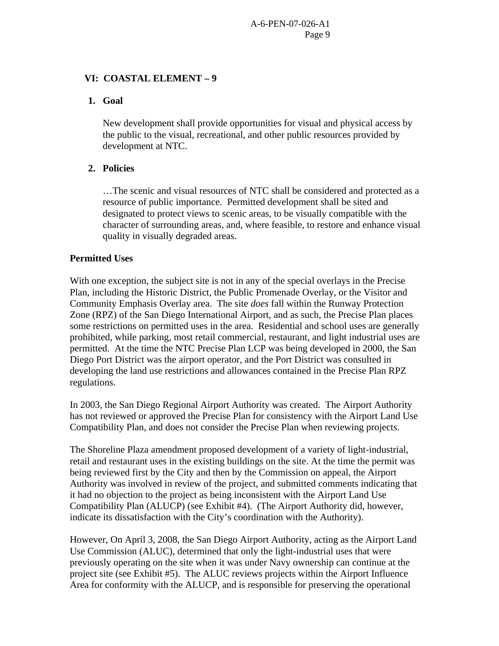## **VI: COASTAL ELEMENT – 9**

### **1. Goal**

New development shall provide opportunities for visual and physical access by the public to the visual, recreational, and other public resources provided by development at NTC.

# **2. Policies**

…The scenic and visual resources of NTC shall be considered and protected as a resource of public importance. Permitted development shall be sited and designated to protect views to scenic areas, to be visually compatible with the character of surrounding areas, and, where feasible, to restore and enhance visual quality in visually degraded areas.

### **Permitted Uses**

With one exception, the subject site is not in any of the special overlays in the Precise Plan, including the Historic District, the Public Promenade Overlay, or the Visitor and Community Emphasis Overlay area. The site *does* fall within the Runway Protection Zone (RPZ) of the San Diego International Airport, and as such, the Precise Plan places some restrictions on permitted uses in the area. Residential and school uses are generally prohibited, while parking, most retail commercial, restaurant, and light industrial uses are permitted. At the time the NTC Precise Plan LCP was being developed in 2000, the San Diego Port District was the airport operator, and the Port District was consulted in developing the land use restrictions and allowances contained in the Precise Plan RPZ regulations.

In 2003, the San Diego Regional Airport Authority was created. The Airport Authority has not reviewed or approved the Precise Plan for consistency with the Airport Land Use Compatibility Plan, and does not consider the Precise Plan when reviewing projects.

The Shoreline Plaza amendment proposed development of a variety of light-industrial, retail and restaurant uses in the existing buildings on the site. At the time the permit was being reviewed first by the City and then by the Commission on appeal, the Airport Authority was involved in review of the project, and submitted comments indicating that it had no objection to the project as being inconsistent with the Airport Land Use Compatibility Plan (ALUCP) (see Exhibit #4). (The Airport Authority did, however, indicate its dissatisfaction with the City's coordination with the Authority).

However, On April 3, 2008, the San Diego Airport Authority, acting as the Airport Land Use Commission (ALUC), determined that only the light-industrial uses that were previously operating on the site when it was under Navy ownership can continue at the project site (see Exhibit #5). The ALUC reviews projects within the Airport Influence Area for conformity with the ALUCP, and is responsible for preserving the operational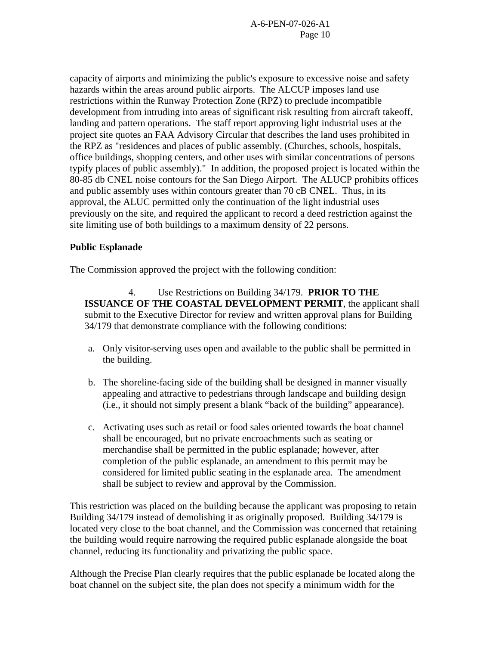capacity of airports and minimizing the public's exposure to excessive noise and safety hazards within the areas around public airports. The ALCUP imposes land use restrictions within the Runway Protection Zone (RPZ) to preclude incompatible development from intruding into areas of significant risk resulting from aircraft takeoff, landing and pattern operations. The staff report approving light industrial uses at the project site quotes an FAA Advisory Circular that describes the land uses prohibited in the RPZ as "residences and places of public assembly. (Churches, schools, hospitals, office buildings, shopping centers, and other uses with similar concentrations of persons typify places of public assembly)." In addition, the proposed project is located within the 80-85 db CNEL noise contours for the San Diego Airport. The ALUCP prohibits offices and public assembly uses within contours greater than 70 cB CNEL. Thus, in its approval, the ALUC permitted only the continuation of the light industrial uses previously on the site, and required the applicant to record a deed restriction against the site limiting use of both buildings to a maximum density of 22 persons.

# **Public Esplanade**

The Commission approved the project with the following condition:

 4. Use Restrictions on Building 34/179. **PRIOR TO THE ISSUANCE OF THE COASTAL DEVELOPMENT PERMIT, the applicant shall** submit to the Executive Director for review and written approval plans for Building 34/179 that demonstrate compliance with the following conditions:

- a. Only visitor-serving uses open and available to the public shall be permitted in the building.
- b. The shoreline-facing side of the building shall be designed in manner visually appealing and attractive to pedestrians through landscape and building design (i.e., it should not simply present a blank "back of the building" appearance).
- c. Activating uses such as retail or food sales oriented towards the boat channel shall be encouraged, but no private encroachments such as seating or merchandise shall be permitted in the public esplanade; however, after completion of the public esplanade, an amendment to this permit may be considered for limited public seating in the esplanade area. The amendment shall be subject to review and approval by the Commission.

This restriction was placed on the building because the applicant was proposing to retain Building 34/179 instead of demolishing it as originally proposed. Building 34/179 is located very close to the boat channel, and the Commission was concerned that retaining the building would require narrowing the required public esplanade alongside the boat channel, reducing its functionality and privatizing the public space.

Although the Precise Plan clearly requires that the public esplanade be located along the boat channel on the subject site, the plan does not specify a minimum width for the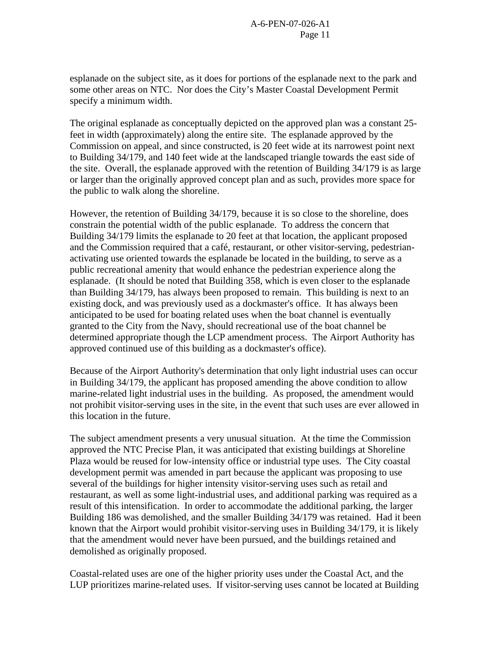esplanade on the subject site, as it does for portions of the esplanade next to the park and some other areas on NTC. Nor does the City's Master Coastal Development Permit specify a minimum width.

The original esplanade as conceptually depicted on the approved plan was a constant 25 feet in width (approximately) along the entire site. The esplanade approved by the Commission on appeal, and since constructed, is 20 feet wide at its narrowest point next to Building 34/179, and 140 feet wide at the landscaped triangle towards the east side of the site. Overall, the esplanade approved with the retention of Building 34/179 is as large or larger than the originally approved concept plan and as such, provides more space for the public to walk along the shoreline.

However, the retention of Building 34/179, because it is so close to the shoreline, does constrain the potential width of the public esplanade. To address the concern that Building 34/179 limits the esplanade to 20 feet at that location, the applicant proposed and the Commission required that a café, restaurant, or other visitor-serving, pedestrianactivating use oriented towards the esplanade be located in the building, to serve as a public recreational amenity that would enhance the pedestrian experience along the esplanade. (It should be noted that Building 358, which is even closer to the esplanade than Building 34/179, has always been proposed to remain. This building is next to an existing dock, and was previously used as a dockmaster's office. It has always been anticipated to be used for boating related uses when the boat channel is eventually granted to the City from the Navy, should recreational use of the boat channel be determined appropriate though the LCP amendment process. The Airport Authority has approved continued use of this building as a dockmaster's office).

Because of the Airport Authority's determination that only light industrial uses can occur in Building 34/179, the applicant has proposed amending the above condition to allow marine-related light industrial uses in the building. As proposed, the amendment would not prohibit visitor-serving uses in the site, in the event that such uses are ever allowed in this location in the future.

The subject amendment presents a very unusual situation. At the time the Commission approved the NTC Precise Plan, it was anticipated that existing buildings at Shoreline Plaza would be reused for low-intensity office or industrial type uses. The City coastal development permit was amended in part because the applicant was proposing to use several of the buildings for higher intensity visitor-serving uses such as retail and restaurant, as well as some light-industrial uses, and additional parking was required as a result of this intensification. In order to accommodate the additional parking, the larger Building 186 was demolished, and the smaller Building 34/179 was retained. Had it been known that the Airport would prohibit visitor-serving uses in Building 34/179, it is likely that the amendment would never have been pursued, and the buildings retained and demolished as originally proposed.

Coastal-related uses are one of the higher priority uses under the Coastal Act, and the LUP prioritizes marine-related uses. If visitor-serving uses cannot be located at Building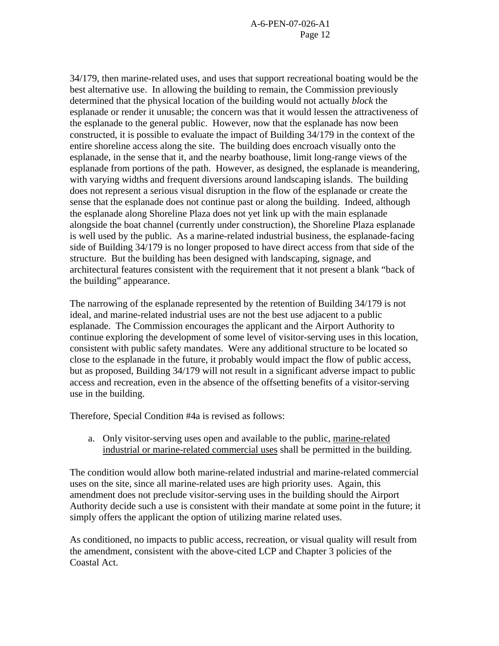34/179, then marine-related uses, and uses that support recreational boating would be the best alternative use. In allowing the building to remain, the Commission previously determined that the physical location of the building would not actually *block* the esplanade or render it unusable; the concern was that it would lessen the attractiveness of the esplanade to the general public. However, now that the esplanade has now been constructed, it is possible to evaluate the impact of Building 34/179 in the context of the entire shoreline access along the site. The building does encroach visually onto the esplanade, in the sense that it, and the nearby boathouse, limit long-range views of the esplanade from portions of the path. However, as designed, the esplanade is meandering, with varying widths and frequent diversions around landscaping islands. The building does not represent a serious visual disruption in the flow of the esplanade or create the sense that the esplanade does not continue past or along the building. Indeed, although the esplanade along Shoreline Plaza does not yet link up with the main esplanade alongside the boat channel (currently under construction), the Shoreline Plaza esplanade is well used by the public. As a marine-related industrial business, the esplanade-facing side of Building 34/179 is no longer proposed to have direct access from that side of the structure. But the building has been designed with landscaping, signage, and architectural features consistent with the requirement that it not present a blank "back of the building" appearance.

The narrowing of the esplanade represented by the retention of Building 34/179 is not ideal, and marine-related industrial uses are not the best use adjacent to a public esplanade. The Commission encourages the applicant and the Airport Authority to continue exploring the development of some level of visitor-serving uses in this location, consistent with public safety mandates. Were any additional structure to be located so close to the esplanade in the future, it probably would impact the flow of public access, but as proposed, Building 34/179 will not result in a significant adverse impact to public access and recreation, even in the absence of the offsetting benefits of a visitor-serving use in the building.

Therefore, Special Condition #4a is revised as follows:

a. Only visitor-serving uses open and available to the public, marine-related industrial or marine-related commercial uses shall be permitted in the building.

The condition would allow both marine-related industrial and marine-related commercial uses on the site, since all marine-related uses are high priority uses. Again, this amendment does not preclude visitor-serving uses in the building should the Airport Authority decide such a use is consistent with their mandate at some point in the future; it simply offers the applicant the option of utilizing marine related uses.

As conditioned, no impacts to public access, recreation, or visual quality will result from the amendment, consistent with the above-cited LCP and Chapter 3 policies of the Coastal Act.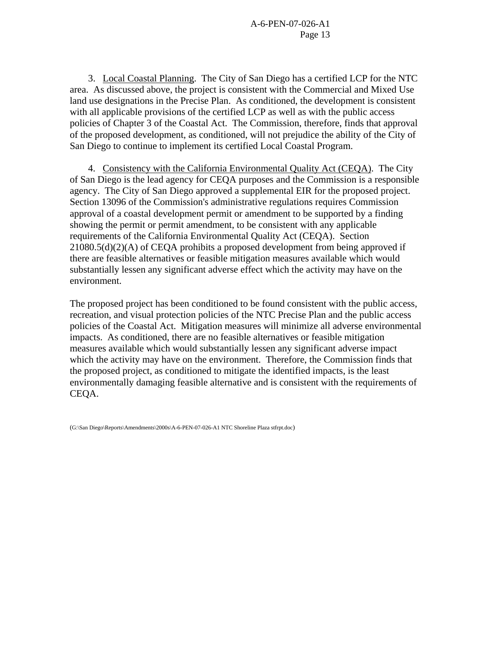3. Local Coastal Planning. The City of San Diego has a certified LCP for the NTC area. As discussed above, the project is consistent with the Commercial and Mixed Use land use designations in the Precise Plan. As conditioned, the development is consistent with all applicable provisions of the certified LCP as well as with the public access policies of Chapter 3 of the Coastal Act. The Commission, therefore, finds that approval of the proposed development, as conditioned, will not prejudice the ability of the City of San Diego to continue to implement its certified Local Coastal Program.

 4. Consistency with the California Environmental Quality Act (CEQA). The City of San Diego is the lead agency for CEQA purposes and the Commission is a responsible agency. The City of San Diego approved a supplemental EIR for the proposed project. Section 13096 of the Commission's administrative regulations requires Commission approval of a coastal development permit or amendment to be supported by a finding showing the permit or permit amendment, to be consistent with any applicable requirements of the California Environmental Quality Act (CEQA). Section 21080.5(d)(2)(A) of CEQA prohibits a proposed development from being approved if there are feasible alternatives or feasible mitigation measures available which would substantially lessen any significant adverse effect which the activity may have on the environment.

The proposed project has been conditioned to be found consistent with the public access, recreation, and visual protection policies of the NTC Precise Plan and the public access policies of the Coastal Act. Mitigation measures will minimize all adverse environmental impacts. As conditioned, there are no feasible alternatives or feasible mitigation measures available which would substantially lessen any significant adverse impact which the activity may have on the environment. Therefore, the Commission finds that the proposed project, as conditioned to mitigate the identified impacts, is the least environmentally damaging feasible alternative and is consistent with the requirements of CEQA.

<sup>(</sup>G:\San Diego\Reports\Amendments\2000s\A-6-PEN-07-026-A1 NTC Shoreline Plaza stfrpt.doc)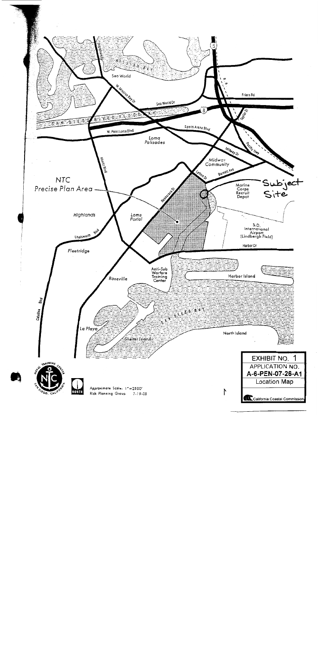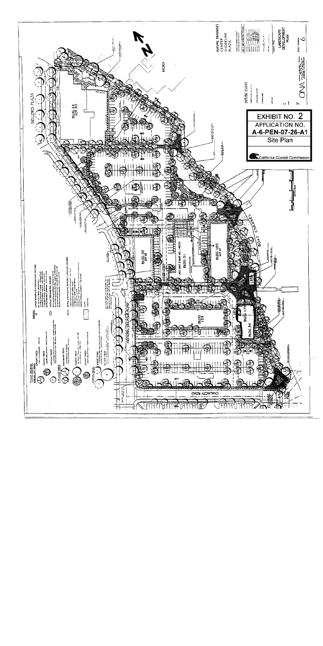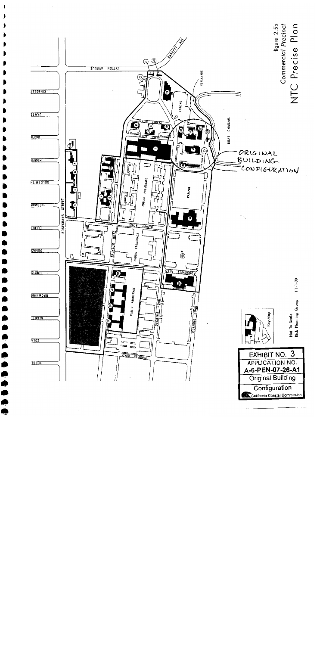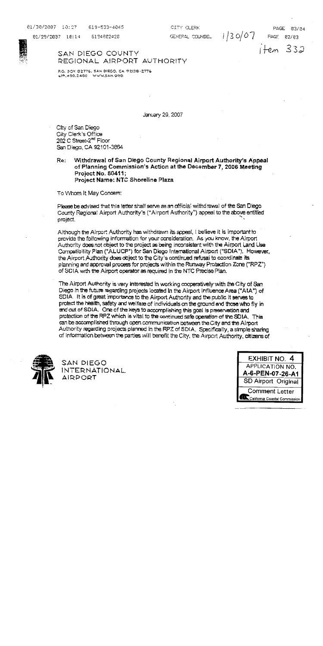01/30/2007 10:27 619-533-4045

CITY CLERK GENERAL COUNSEL

01/29/2007 16:14 5134002428



### SAN DIEGO COUNTY REGIONAL AIRPORT AUTHORITY

P.O. BOX 82776, SAN DIEGO, CA 92138-2776 610.400.2400 WWW.SAN.ORG

January 29, 2007

City of San Diego City Clerk's Office 202 C Street-2<sup>nd</sup> Floor San Diego, CA 92101-3864

Withdrawal of San Diego County Regional Airport Authority's Appeal Re: of Planning Commission's Action at the December 7, 2006 Meeting Project No. 80411; Project Name: NTC Shoreline Plaza

To Whom it May Concern:

Please be advised that this letter shall serve as an official withdrawal of the San Dlego County Regional Airport Authority's ("Airport Authority") appeal to the above entitled project.

Although the Airport Authority has withdrawn its appeal, I believe it is important to provide the following information for your consideration. As you know, the Airport Authority does not object to the project as being inconsistent with the Airport Land Use Compatibility Plan ("ALUCP") for San Diego International Airport ("SDIA"). However, the Airport Authority does object to the City's continued refusal to coordinate its planning and approval process for projects within the Runway Protection Zone ("RPZ") of SDIA with the Airport operator as required in the NTC Precise Plan.

The Airport Authority is very interested in working cooperatively with the City of San Diego in the future regarding projects located In the Airport Influence Area ("AIA") of SDIA. It is of great importance to the Airport Authority and the public it serves to protect the health, safety and welfare of individuals on the ground and those who fly in and out of SDIA. One of the keys to accomplishing this goal is preservation and protection of the RPZ which is vital to the continued safe operation of the SDIA. This can be accomplished through open communication between the City and the Alrport Authority regarding projects planned in the RPZ of SDIA. Specifically, a simple sharing of information between the parties will benefit the City, the Airport Authority, citizers of



SAN DIEGO **INTERNATIONAL** AIRPORT



PAGE 03/84

 $1/30/07$  PAGE 82/83

 $i$ tem 332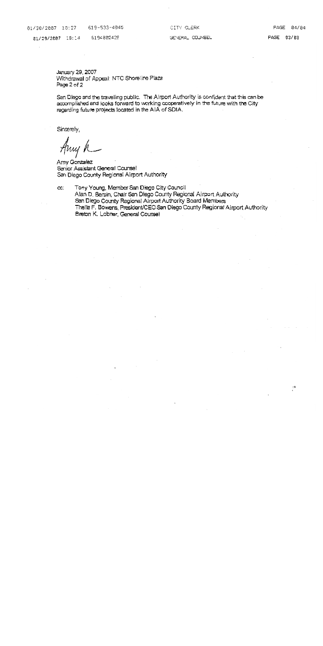01/30/2007 10:27 619-533-4045

01/29/2007 18:14 5194002428 CITY CLERK

GENERAL COUNSEL

PAGE 04/04

÷

January 29, 2007 Withdrawal of Appeal: NTC Shoreline Plaza Page 2 of 2

San Diego and the traveling public. The Alrport Authority is confident that this can be accomplished and looks forward to working cooperatively in the future with the City regarding future projects located in the AIA of SDIA.

Sincerely,

Amy Gonzalez Senior Assistant General Counsel San Diego County Regional Airport Authority

Tony Young, Member San Diego City Council cc: Alan D. Bersin, Chair San Diego County Regional Airport Authority San Diego County Regional Airport Authority Board Members Thella F. Bowens, President/CEO San Diego County Regional Airport Authority Breton K. Lobner, General Counsel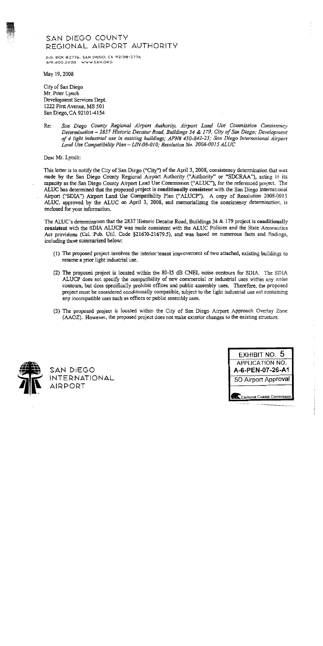# SAN DIEGO COUNTY REGIONAL AIRPORT AUTHORITY

P.O. BOX 82776, SAN DIEGO, CA 92138-2776 619.400.2400 WWW.SAN.ORG

May 19, 2008

City of San Diego Mr. Peter Lynch Development Services Dept. 1222 First Avenue, MS 501 San Diego, CA 92101-4154

Re: San Diego County Regional Airport Authority, Airport Land Use Commission Consistency Determination - 2837 Historic Decatur Road, Buildings 34 & 179, City of San Diego; Development of 4 light industrial use in existing buildings; APN# 450-842-23; San Diego International Airport Land Use Compatibility Plan - LIN-08-010; Resolution No. 2008-0015 ALUC

Dear Mr. Lynch:

This letter is to notify the City of San Diego ("City") of the April 3, 2008, consistency determination that was made by the San Diego County Regional Airport Authority ("Authority" or "SDCRAA"), acting in its capacity as the San Diego County Airport Land Use Commission ("ALUC"), for the referenced project. The ALUC has determined that the proposed project is conditionally consistent with the San Diego International Airport ("SDIA") Airport Land Use Compatibility Plan ("ALUCP"). A copy of Resolution 2008-0015 ALUC, approved by the ALUC on April 3, 2008, and memorializing the consistency determination, is enclosed for your information.

The ALUC's determination that the 2837 Historic Decatur Road, Buildings 34 & 179 project is conditionally consistent with the SDIA ALUCP was made consistent with the ALUC Policies and the State Aeronautics Act provisions (Cal. Pub. Util. Code §21670-21679.5), and was based on numerous facts and findings. including those summarized below:

- (1) The proposed project involves the interior tenant improvement of two attached, existing buildings to resume a prior light industrial use.
- (2) The proposed project is located within the 80-85 dB CNEL noise contours for SDIA. The SDIA ALUCP does not specify the compatibility of new commercial or industrial uses within any noise contours, but does specifically prohibit offices and public assembly uses. Therefore, the proposed project must be considered conditionally compatible, subject to the light industrial use not containing any incompatible uses such as offices or public assembly uses.
- (3) The proposed project is located within the City of San Diego Airport Approach Overlay Zone (AAOZ). However, the proposed project does not make exterior changes to the existing structure.



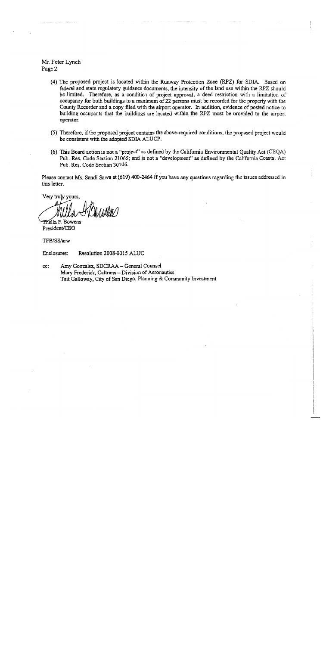Mr. Peter Lynch Page 2

- (4) The proposed project is located within the Runway Protection Zone (RPZ) for SDIA. Based on federal and state regulatory guidance documents, the intensity of the land use within the RPZ should be limited. Therefore, as a condition of project approval, a deed restriction with a limitation of occupancy for both buildings to a maximum of 22 persons must be recorded for the property with the County Recorder and a copy filed with the airport operator. In addition, evidence of posted notice to building occupants that the buildings are located within the RPZ must be provided to the airport operator.
- (5) Therefore, if the proposed project contains the above-required conditions, the proposed project would be consistent with the adopted SDIA ALUCP.
- (6) This Board action is not a "project" as defined by the California Environmental Quality Act (CEOA) Pub. Res. Code Section 21065; and is not a "development" as defined by the California Coastal Act Pub. Res. Code Section 30106.

Please contact Ms. Sandi Sawa at (619) 400-2464 if you have any questions regarding the issues addressed in this letter.

Very truly yours.

Pri*matine* 

Fhella F. Bowens President/CEO

TFB/SS/arw

Enclosures: Resolution 2008-0015 ALUC

Amy Gonzalez, SDCRAA - General Counsel cc: Mary Frederick, Caltrans - Division of Aeronautics Tait Galloway, City of San Diego, Planning & Community Investment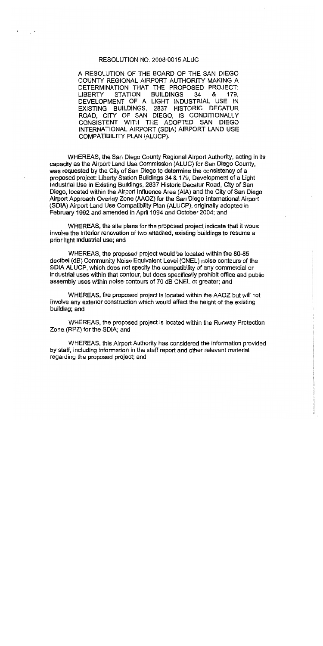#### RESOLUTION NO. 2008-0015 ALUC

A RESOLUTION OF THE BOARD OF THE SAN DIEGO COUNTY REGIONAL AIRPORT AUTHORITY MAKING A DETERMINATION THAT THE PROPOSED PROJECT: **BUILDINGS** 179. LIBERTY **STATION** 34 & DEVELOPMENT OF A LIGHT INDUSTRIAL USE IN EXISTING BUILDINGS. 2837 HISTORIC DECATUR ROAD, CITY OF SAN DIEGO, IS CONDITIONALLY CONSISTENT WITH THE ADOPTED SAN DIEGO INTERNATIONAL AIRPORT (SDIA) AIRPORT LAND USE COMPATIBILITY PLAN (ALUCP).

WHEREAS, the San Diego County Regional Airport Authority, acting in its capacity as the Airport Land Use Commission (ALUC) for San Diego County, was requested by the City of San Diego to determine the consistency of a proposed project: Liberty Station Buildings 34 & 179, Development of a Light Industrial Use in Existing Buildings, 2837 Historic Decatur Road, City of San Diego, located within the Airport Influence Area (AIA) and the City of San Diego Airport Approach Overlay Zone (AAOZ) for the San Diego International Airport (SDIA) Airport Land Use Compatibility Plan (ALUCP), originally adopted in February 1992 and amended in April 1994 and October 2004; and

WHEREAS, the site plans for the proposed project indicate that it would involve the interior renovation of two attached, existing buildings to resume a prior light industrial use; and

WHEREAS, the proposed project would be located within the 80-85 decibel (dB) Community Noise Equivalent Level (CNEL) noise contours of the SDIA ALUCP, which does not specify the compatibility of any commercial or industrial uses within that contour, but does specifically prohibit office and public assembly uses within noise contours of 70 dB CNEL or greater; and

WHEREAS, the proposed project is located within the AAOZ but will not involve any exterior construction which would affect the height of the existing building; and

WHEREAS, the proposed project is located within the Runway Protection Zone (RPZ) for the SDIA; and

WHEREAS, this Airport Authority has considered the information provided by staff, including information in the staff report and other relevant material regarding the proposed project; and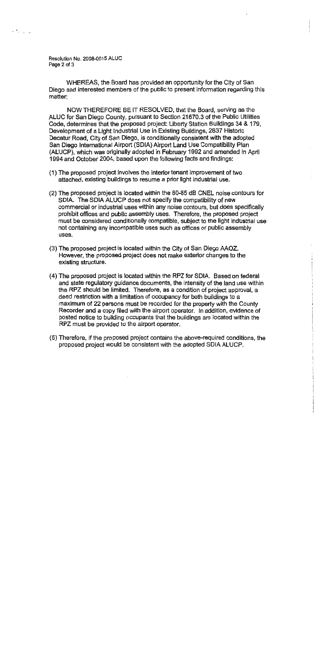Resolution No. 2008-0015 ALUC Page 2 of 3

**Channel** 

WHEREAS, the Board has provided an opportunity for the City of San Diego and interested members of the public to present information regarding this matter:

NOW THEREFORE BE IT RESOLVED, that the Board, serving as the ALUC for San Diego County, pursuant to Section 21670.3 of the Public Utilities Code, determines that the proposed project: Liberty Station Buildings 34 & 179. Development of a Light Industrial Use in Existing Buildings, 2837 Historic Decatur Road, City of San Diego, is conditionally consistent with the adopted San Diego International Airport (SDIA) Airport Land Use Compatibility Plan (ALUCP), which was originally adopted in February 1992 and amended in April 1994 and October 2004, based upon the following facts and findings:

- (1) The proposed project involves the interior tenant improvement of two attached, existing buildings to resume a prior light industrial use.
- (2) The proposed project is located within the 80-85 dB CNEL noise contours for SDIA. The SDIA ALUCP does not specify the compatibility of new commercial or industrial uses within any noise contours, but does specifically prohibit offices and public assembly uses. Therefore, the proposed project must be considered conditionally compatible, subject to the light industrial use not containing any incompatible uses such as offices or public assembly uses.
- (3) The proposed project is located within the City of San Diego AAOZ. However, the proposed project does not make exterior changes to the existing structure.
- (4) The proposed project is located within the RPZ for SDIA. Based on federal and state regulatory guidance documents, the intensity of the land use within the RPZ should be limited. Therefore, as a condition of project approval, a deed restriction with a limitation of occupancy for both buildings to a maximum of 22 persons must be recorded for the property with the County Recorder and a copy filed with the airport operator. In addition, evidence of posted notice to building occupants that the buildings are located within the RPZ must be provided to the airport operator.
- (5) Therefore, if the proposed project contains the above-required conditions, the proposed project would be consistent with the adopted SDIA ALUCP.